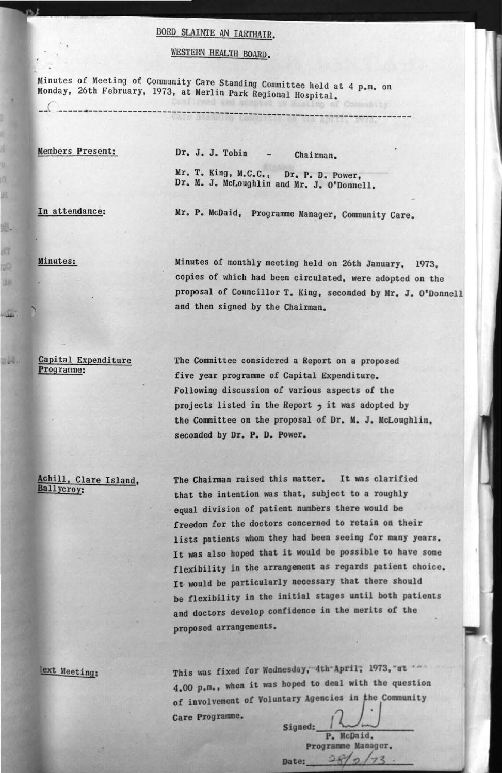## **BORD SLAINTE AN IARTHATR**

## **WESTERN HEALTH BOARD.**

*Minutes of Meeting of Community Care Standing Committee held at 4 p.m. on Monday, 26th February, 1973, at Merlin Park Positival Merlin is* Monday, 26th February, 1973, at Merlin Park Regional Hospital.

Members Present: Dr. J. J. Tobin - Chairman. **Mr. T. King, M.C.C., Dr. P. D. Power, Dr. M. J. McLoughlin and Mr. J. O'Donnell.** 

**In attendance: Mr. P. McDaid, Programme Manager, Community Care,** 

**Minutes: Minutes of monthly meeting held on 26th January, 1973, copies of which had been circulated, were adopted on the proposal of Councillor T. King, seconded by Mr. J. O'Donnell and then signed by the Chairman.** 

**Capital Expenditure Programme:** 

**The Committee considered a Report on a proposed five year programme of Capital Expenditure. Following discussion of various aspects of the projects listed in the Report** *y* **it was adopted by the Committee on the proposal of Dr. M. J. McLoughlin, seconded by Dr. P. D. Power.** 

**Achill. Clare Island. Ballycroy:** 

**The Chairman raised this matter. It was clarified that the intention was that, subject to a roughly equal division of patient numbers there would be freedom for the doctors concerned to retain on their lists patients whom they had been seeing for many years. It was also hoped that it would be possible to have some flexibility in the arrangement as regards patient choice, It would be particularly necessary that there should be flexibility in the initial stages until both patients and doctors develop confidence in the merits of the proposed arrangements.** 

lext Meeting:

**This was fixed for Wednesday, 4th-April, 1973,'at ' 4.00 p.m., when it was hoped to deal with the question**  of involvement of Voluntary Agencies in the Community **Care Programme.** 

**Signed:**  Date: **P. McDaid. programme Manager.**